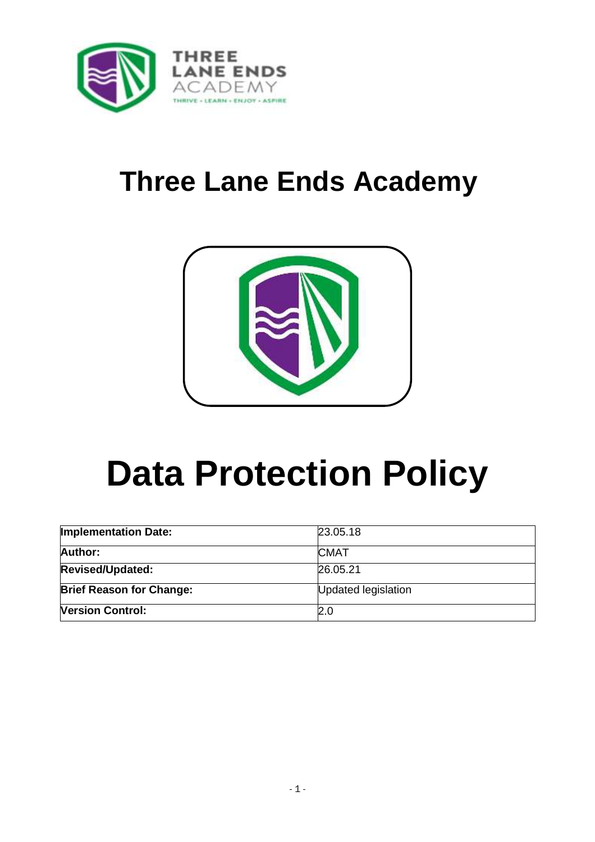

## **Three Lane Ends Academy**



# **Data Protection Policy**

| <b>Implementation Date:</b>     | 23.05.18            |
|---------------------------------|---------------------|
| <b>Author:</b>                  | <b>CMAT</b>         |
| <b>Revised/Updated:</b>         | 26.05.21            |
| <b>Brief Reason for Change:</b> | Updated legislation |
| <b>Version Control:</b>         | 2.0                 |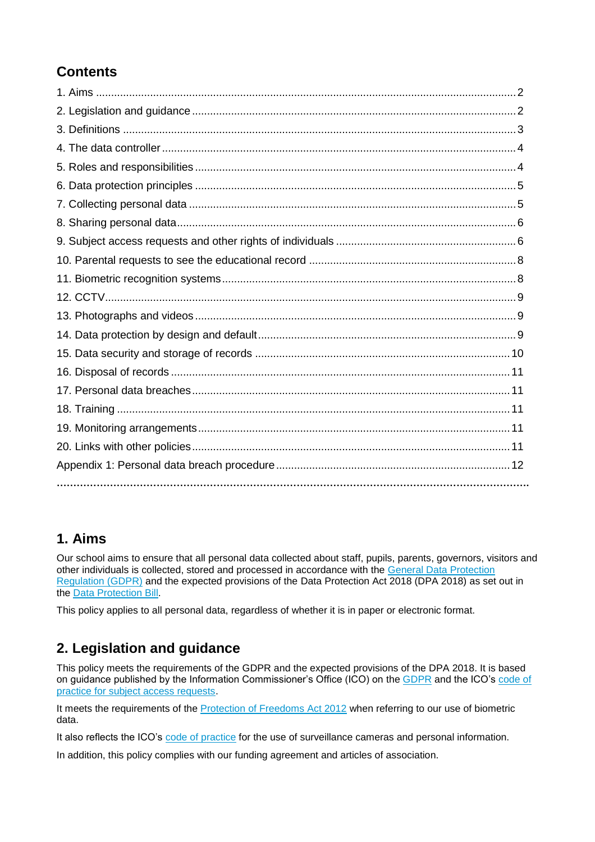## **Contents**

## **1. Aims**

Our school aims to ensure that all personal data collected about staff, pupils, parents, governors, visitors and other individuals is collected, stored and processed in accordance with the [General Data Protection](http://data.consilium.europa.eu/doc/document/ST-5419-2016-INIT/en/pdf)  [Regulation \(GDPR\)](http://data.consilium.europa.eu/doc/document/ST-5419-2016-INIT/en/pdf) and the expected provisions of the Data Protection Act 2018 (DPA 2018) as set out in the [Data Protection Bill.](https://publications.parliament.uk/pa/bills/cbill/2017-2019/0153/18153.pdf)

This policy applies to all personal data, regardless of whether it is in paper or electronic format.

## **2. Legislation and guidance**

This policy meets the requirements of the GDPR and the expected provisions of the DPA 2018. It is based on guidance published by the Information Commissioner's Office (ICO) on the [GDPR](https://ico.org.uk/for-organisations/guide-to-the-general-data-protection-regulation-gdpr/) and the ICO's code of [practice for subject access requests.](https://ico.org.uk/media/for-organisations/documents/2014223/subject-access-code-of-practice.pdf)

It meets the requirements of the **Protection of Freedoms Act 2012** when referring to our use of biometric data.

It also reflects the ICO's [code of practice](https://ico.org.uk/media/for-organisations/documents/1542/cctv-code-of-practice.pdf) for the use of surveillance cameras and personal information.

In addition, this policy complies with our funding agreement and articles of association.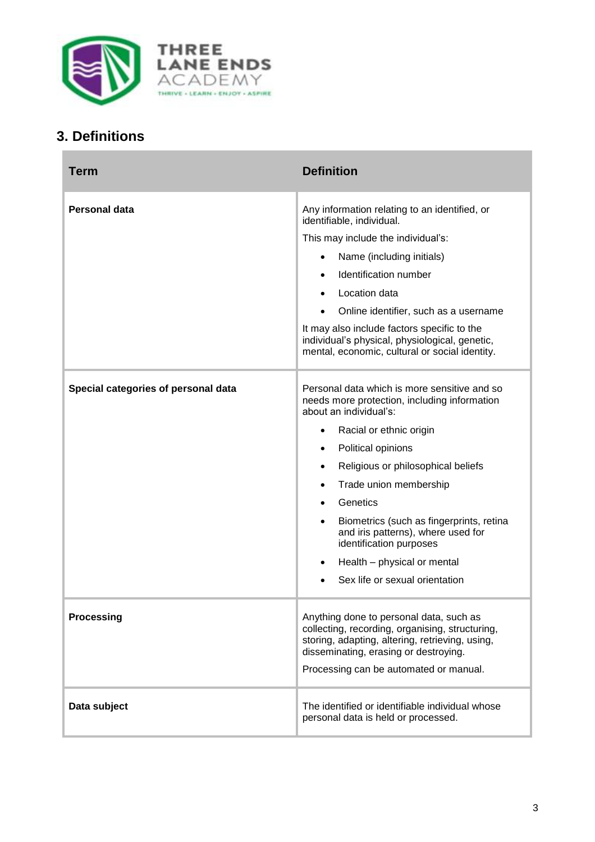

## **3. Definitions**

| Term                                | <b>Definition</b>                                                                                                                                                                                                                                                                                                                                                                                                                                                                                                    |
|-------------------------------------|----------------------------------------------------------------------------------------------------------------------------------------------------------------------------------------------------------------------------------------------------------------------------------------------------------------------------------------------------------------------------------------------------------------------------------------------------------------------------------------------------------------------|
| Personal data                       | Any information relating to an identified, or<br>identifiable, individual.<br>This may include the individual's:<br>Name (including initials)<br>$\bullet$<br>Identification number<br>Location data<br>Online identifier, such as a username<br>It may also include factors specific to the<br>individual's physical, physiological, genetic,<br>mental, economic, cultural or social identity.                                                                                                                     |
| Special categories of personal data | Personal data which is more sensitive and so<br>needs more protection, including information<br>about an individual's:<br>Racial or ethnic origin<br>$\bullet$<br>Political opinions<br>$\bullet$<br>Religious or philosophical beliefs<br>$\bullet$<br>Trade union membership<br>$\bullet$<br>Genetics<br>$\bullet$<br>Biometrics (such as fingerprints, retina<br>$\bullet$<br>and iris patterns), where used for<br>identification purposes<br>Health - physical or mental<br>٠<br>Sex life or sexual orientation |
| <b>Processing</b>                   | Anything done to personal data, such as<br>collecting, recording, organising, structuring,<br>storing, adapting, altering, retrieving, using,<br>disseminating, erasing or destroying.<br>Processing can be automated or manual.                                                                                                                                                                                                                                                                                     |
| Data subject                        | The identified or identifiable individual whose<br>personal data is held or processed.                                                                                                                                                                                                                                                                                                                                                                                                                               |

۰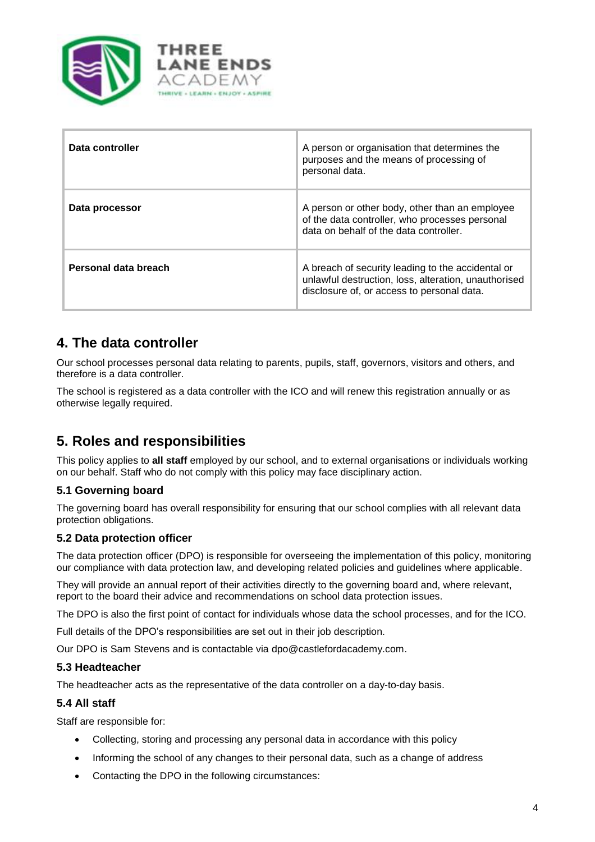

| Data controller      | A person or organisation that determines the<br>purposes and the means of processing of<br>personal data.                                               |
|----------------------|---------------------------------------------------------------------------------------------------------------------------------------------------------|
| Data processor       | A person or other body, other than an employee<br>of the data controller, who processes personal<br>data on behalf of the data controller.              |
| Personal data breach | A breach of security leading to the accidental or<br>unlawful destruction, loss, alteration, unauthorised<br>disclosure of, or access to personal data. |

## **4. The data controller**

Our school processes personal data relating to parents, pupils, staff, governors, visitors and others, and therefore is a data controller.

The school is registered as a data controller with the ICO and will renew this registration annually or as otherwise legally required.

## **5. Roles and responsibilities**

This policy applies to **all staff** employed by our school, and to external organisations or individuals working on our behalf. Staff who do not comply with this policy may face disciplinary action.

#### **5.1 Governing board**

The governing board has overall responsibility for ensuring that our school complies with all relevant data protection obligations.

#### **5.2 Data protection officer**

The data protection officer (DPO) is responsible for overseeing the implementation of this policy, monitoring our compliance with data protection law, and developing related policies and guidelines where applicable.

They will provide an annual report of their activities directly to the governing board and, where relevant, report to the board their advice and recommendations on school data protection issues.

The DPO is also the first point of contact for individuals whose data the school processes, and for the ICO.

Full details of the DPO's responsibilities are set out in their job description.

Our DPO is Sam Stevens and is contactable via dpo@castlefordacademy.com.

#### **5.3 Headteacher**

The headteacher acts as the representative of the data controller on a day-to-day basis.

#### **5.4 All staff**

Staff are responsible for:

- Collecting, storing and processing any personal data in accordance with this policy
- Informing the school of any changes to their personal data, such as a change of address
- Contacting the DPO in the following circumstances: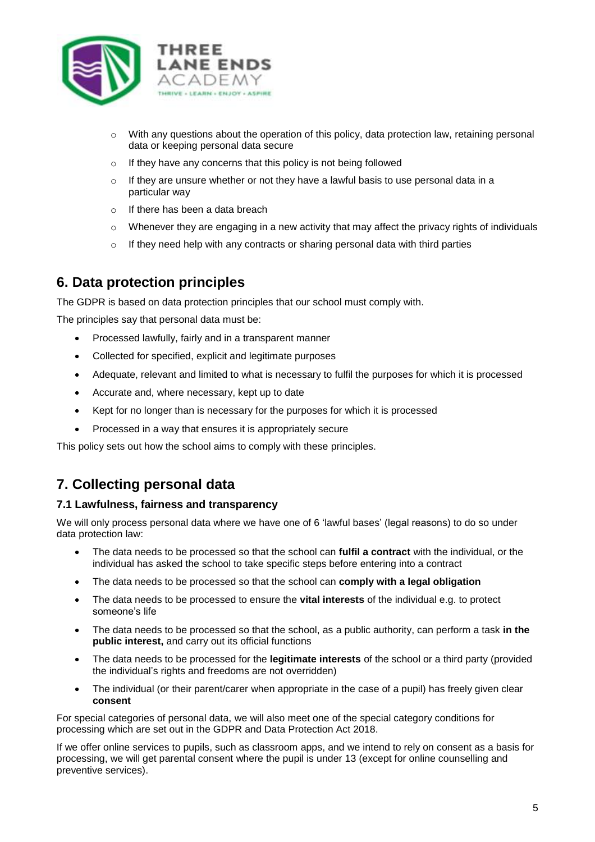

- $\circ$  With any questions about the operation of this policy, data protection law, retaining personal data or keeping personal data secure
- o If they have any concerns that this policy is not being followed
- $\circ$  If they are unsure whether or not they have a lawful basis to use personal data in a particular way
- o If there has been a data breach
- $\circ$  Whenever they are engaging in a new activity that may affect the privacy rights of individuals
- o If they need help with any contracts or sharing personal data with third parties

## **6. Data protection principles**

The GDPR is based on data protection principles that our school must comply with.

The principles say that personal data must be:

- Processed lawfully, fairly and in a transparent manner
- Collected for specified, explicit and legitimate purposes
- Adequate, relevant and limited to what is necessary to fulfil the purposes for which it is processed
- Accurate and, where necessary, kept up to date
- Kept for no longer than is necessary for the purposes for which it is processed
- Processed in a way that ensures it is appropriately secure

This policy sets out how the school aims to comply with these principles.

## **7. Collecting personal data**

#### **7.1 Lawfulness, fairness and transparency**

We will only process personal data where we have one of 6 'lawful bases' (legal reasons) to do so under data protection law:

- The data needs to be processed so that the school can **fulfil a contract** with the individual, or the individual has asked the school to take specific steps before entering into a contract
- The data needs to be processed so that the school can **comply with a legal obligation**
- The data needs to be processed to ensure the **vital interests** of the individual e.g. to protect someone's life
- The data needs to be processed so that the school, as a public authority, can perform a task **in the public interest,** and carry out its official functions
- The data needs to be processed for the **legitimate interests** of the school or a third party (provided the individual's rights and freedoms are not overridden)
- The individual (or their parent/carer when appropriate in the case of a pupil) has freely given clear **consent**

For special categories of personal data, we will also meet one of the special category conditions for processing which are set out in the GDPR and Data Protection Act 2018.

If we offer online services to pupils, such as classroom apps, and we intend to rely on consent as a basis for processing, we will get parental consent where the pupil is under 13 (except for online counselling and preventive services).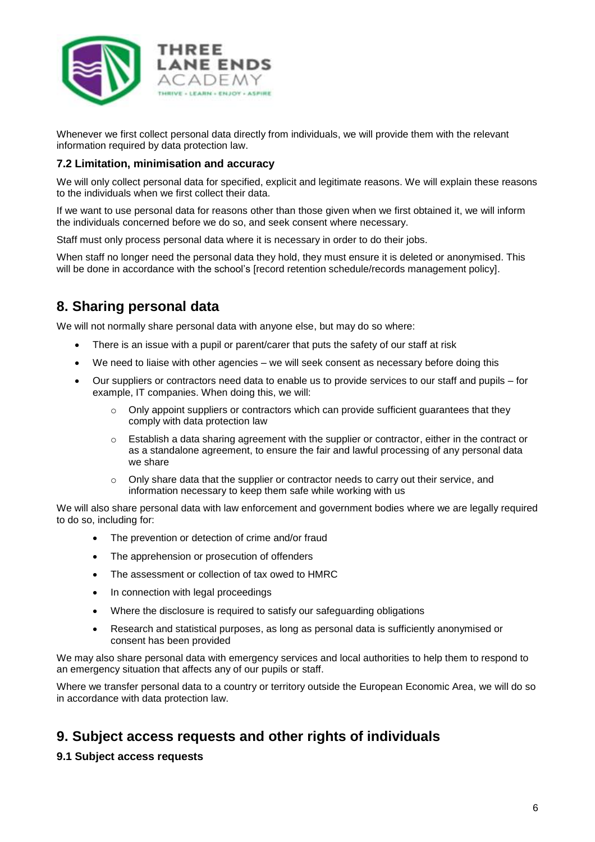

Whenever we first collect personal data directly from individuals, we will provide them with the relevant information required by data protection law.

#### **7.2 Limitation, minimisation and accuracy**

We will only collect personal data for specified, explicit and legitimate reasons. We will explain these reasons to the individuals when we first collect their data.

If we want to use personal data for reasons other than those given when we first obtained it, we will inform the individuals concerned before we do so, and seek consent where necessary.

Staff must only process personal data where it is necessary in order to do their jobs.

When staff no longer need the personal data they hold, they must ensure it is deleted or anonymised. This will be done in accordance with the school's [record retention schedule/records management policy].

## **8. Sharing personal data**

We will not normally share personal data with anyone else, but may do so where:

- There is an issue with a pupil or parent/carer that puts the safety of our staff at risk
- We need to liaise with other agencies we will seek consent as necessary before doing this
- Our suppliers or contractors need data to enable us to provide services to our staff and pupils for example, IT companies. When doing this, we will:
	- $\circ$  Only appoint suppliers or contractors which can provide sufficient guarantees that they comply with data protection law
	- o Establish a data sharing agreement with the supplier or contractor, either in the contract or as a standalone agreement, to ensure the fair and lawful processing of any personal data we share
	- $\circ$  Only share data that the supplier or contractor needs to carry out their service, and information necessary to keep them safe while working with us

We will also share personal data with law enforcement and government bodies where we are legally required to do so, including for:

- The prevention or detection of crime and/or fraud
- The apprehension or prosecution of offenders
- The assessment or collection of tax owed to HMRC
- In connection with legal proceedings
- Where the disclosure is required to satisfy our safeguarding obligations
- Research and statistical purposes, as long as personal data is sufficiently anonymised or consent has been provided

We may also share personal data with emergency services and local authorities to help them to respond to an emergency situation that affects any of our pupils or staff.

Where we transfer personal data to a country or territory outside the European Economic Area, we will do so in accordance with data protection law.

## **9. Subject access requests and other rights of individuals**

#### **9.1 Subject access requests**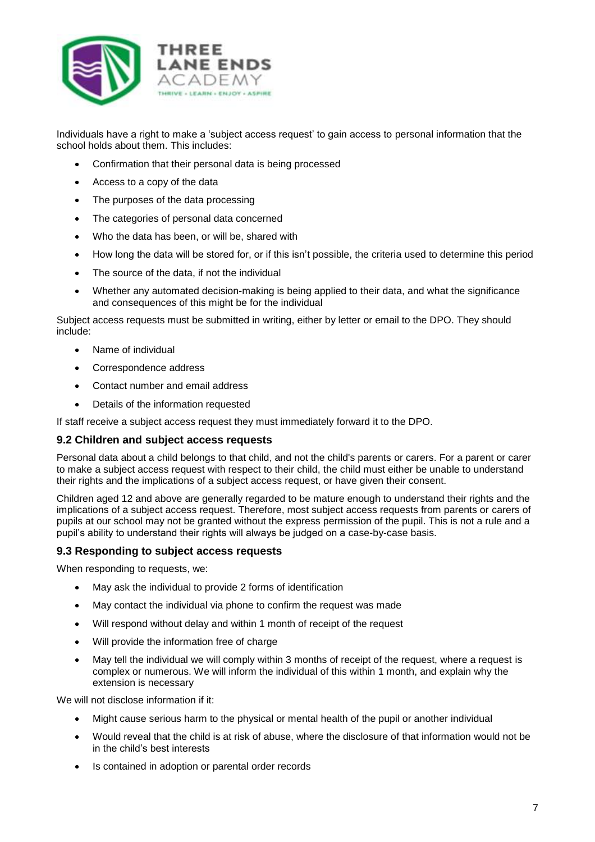

Individuals have a right to make a 'subject access request' to gain access to personal information that the school holds about them. This includes:

- Confirmation that their personal data is being processed
- Access to a copy of the data
- The purposes of the data processing
- The categories of personal data concerned
- Who the data has been, or will be, shared with
- How long the data will be stored for, or if this isn't possible, the criteria used to determine this period
- The source of the data, if not the individual
- Whether any automated decision-making is being applied to their data, and what the significance and consequences of this might be for the individual

Subject access requests must be submitted in writing, either by letter or email to the DPO. They should include:

- Name of individual
- Correspondence address
- Contact number and email address
- Details of the information requested

If staff receive a subject access request they must immediately forward it to the DPO.

#### **9.2 Children and subject access requests**

Personal data about a child belongs to that child, and not the child's parents or carers. For a parent or carer to make a subject access request with respect to their child, the child must either be unable to understand their rights and the implications of a subject access request, or have given their consent.

Children aged 12 and above are generally regarded to be mature enough to understand their rights and the implications of a subject access request. Therefore, most subject access requests from parents or carers of pupils at our school may not be granted without the express permission of the pupil. This is not a rule and a pupil's ability to understand their rights will always be judged on a case-by-case basis.

#### **9.3 Responding to subject access requests**

When responding to requests, we:

- May ask the individual to provide 2 forms of identification
- May contact the individual via phone to confirm the request was made
- Will respond without delay and within 1 month of receipt of the request
- Will provide the information free of charge
- May tell the individual we will comply within 3 months of receipt of the request, where a request is complex or numerous. We will inform the individual of this within 1 month, and explain why the extension is necessary

We will not disclose information if it:

- Might cause serious harm to the physical or mental health of the pupil or another individual
- Would reveal that the child is at risk of abuse, where the disclosure of that information would not be in the child's best interests
- Is contained in adoption or parental order records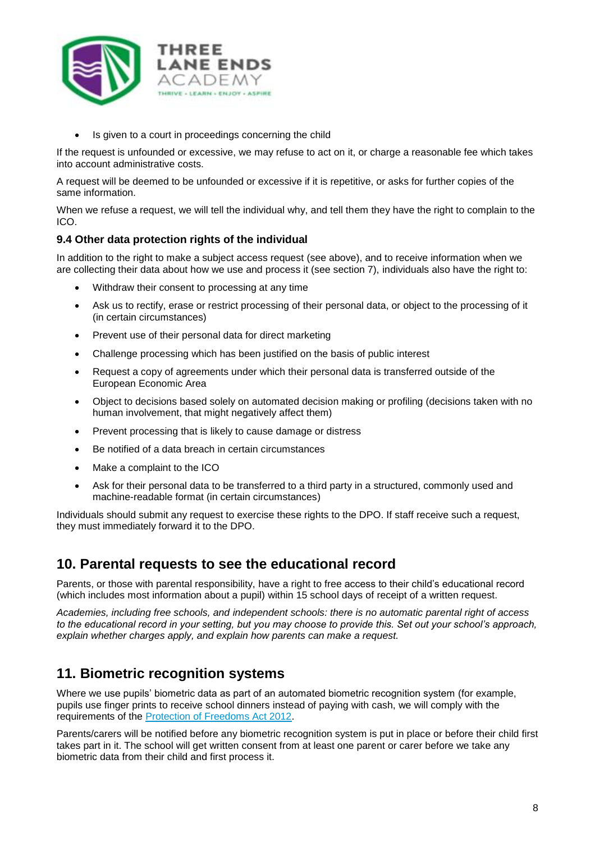

Is given to a court in proceedings concerning the child

If the request is unfounded or excessive, we may refuse to act on it, or charge a reasonable fee which takes into account administrative costs.

A request will be deemed to be unfounded or excessive if it is repetitive, or asks for further copies of the same information.

When we refuse a request, we will tell the individual why, and tell them they have the right to complain to the ICO.

#### **9.4 Other data protection rights of the individual**

In addition to the right to make a subject access request (see above), and to receive information when we are collecting their data about how we use and process it (see section 7), individuals also have the right to:

- Withdraw their consent to processing at any time
- Ask us to rectify, erase or restrict processing of their personal data, or object to the processing of it (in certain circumstances)
- Prevent use of their personal data for direct marketing
- Challenge processing which has been justified on the basis of public interest
- Request a copy of agreements under which their personal data is transferred outside of the European Economic Area
- Object to decisions based solely on automated decision making or profiling (decisions taken with no human involvement, that might negatively affect them)
- Prevent processing that is likely to cause damage or distress
- Be notified of a data breach in certain circumstances
- Make a complaint to the ICO
- Ask for their personal data to be transferred to a third party in a structured, commonly used and machine-readable format (in certain circumstances)

Individuals should submit any request to exercise these rights to the DPO. If staff receive such a request, they must immediately forward it to the DPO.

## **10. Parental requests to see the educational record**

Parents, or those with parental responsibility, have a right to free access to their child's educational record (which includes most information about a pupil) within 15 school days of receipt of a written request.

*Academies, including free schools, and independent schools: there is no automatic parental right of access to the educational record in your setting, but you may choose to provide this. Set out your school's approach, explain whether charges apply, and explain how parents can make a request.*

## **11. Biometric recognition systems**

Where we use pupils' biometric data as part of an automated biometric recognition system (for example, pupils use finger prints to receive school dinners instead of paying with cash, we will comply with the requirements of the [Protection of Freedoms Act 2012.](https://www.legislation.gov.uk/ukpga/2012/9/section/26)

Parents/carers will be notified before any biometric recognition system is put in place or before their child first takes part in it. The school will get written consent from at least one parent or carer before we take any biometric data from their child and first process it.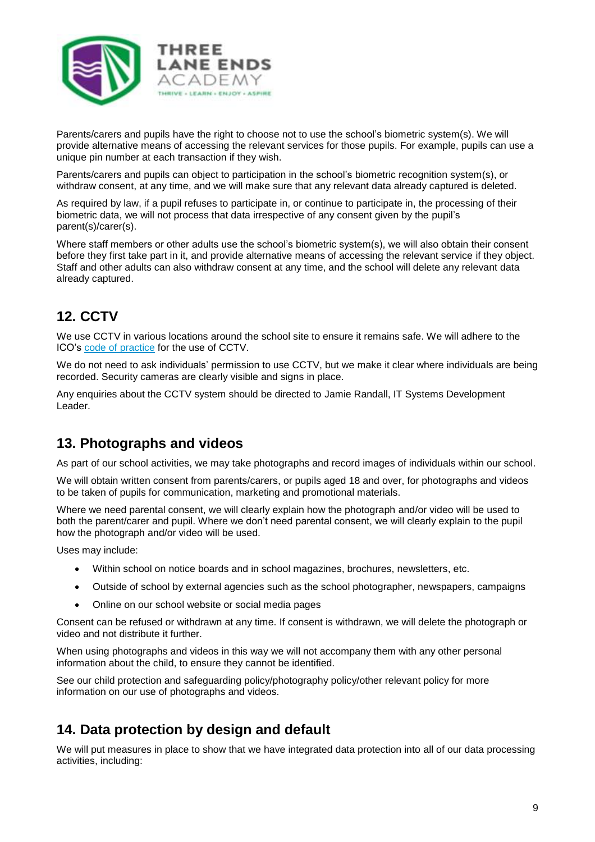

Parents/carers and pupils have the right to choose not to use the school's biometric system(s). We will provide alternative means of accessing the relevant services for those pupils. For example, pupils can use a unique pin number at each transaction if they wish.

Parents/carers and pupils can object to participation in the school's biometric recognition system(s), or withdraw consent, at any time, and we will make sure that any relevant data already captured is deleted.

As required by law, if a pupil refuses to participate in, or continue to participate in, the processing of their biometric data, we will not process that data irrespective of any consent given by the pupil's parent(s)/carer(s).

Where staff members or other adults use the school's biometric system(s), we will also obtain their consent before they first take part in it, and provide alternative means of accessing the relevant service if they object. Staff and other adults can also withdraw consent at any time, and the school will delete any relevant data already captured.

## **12. CCTV**

We use CCTV in various locations around the school site to ensure it remains safe. We will adhere to the ICO's [code of practice](https://ico.org.uk/media/for-organisations/documents/1542/cctv-code-of-practice.pdf) for the use of CCTV.

We do not need to ask individuals' permission to use CCTV, but we make it clear where individuals are being recorded. Security cameras are clearly visible and signs in place.

Any enquiries about the CCTV system should be directed to Jamie Randall, IT Systems Development Leader.

## **13. Photographs and videos**

As part of our school activities, we may take photographs and record images of individuals within our school.

We will obtain written consent from parents/carers, or pupils aged 18 and over, for photographs and videos to be taken of pupils for communication, marketing and promotional materials.

Where we need parental consent, we will clearly explain how the photograph and/or video will be used to both the parent/carer and pupil. Where we don't need parental consent, we will clearly explain to the pupil how the photograph and/or video will be used.

Uses may include:

- Within school on notice boards and in school magazines, brochures, newsletters, etc.
- Outside of school by external agencies such as the school photographer, newspapers, campaigns
- Online on our school website or social media pages

Consent can be refused or withdrawn at any time. If consent is withdrawn, we will delete the photograph or video and not distribute it further.

When using photographs and videos in this way we will not accompany them with any other personal information about the child, to ensure they cannot be identified.

See our child protection and safeguarding policy/photography policy/other relevant policy for more information on our use of photographs and videos.

## **14. Data protection by design and default**

We will put measures in place to show that we have integrated data protection into all of our data processing activities, including: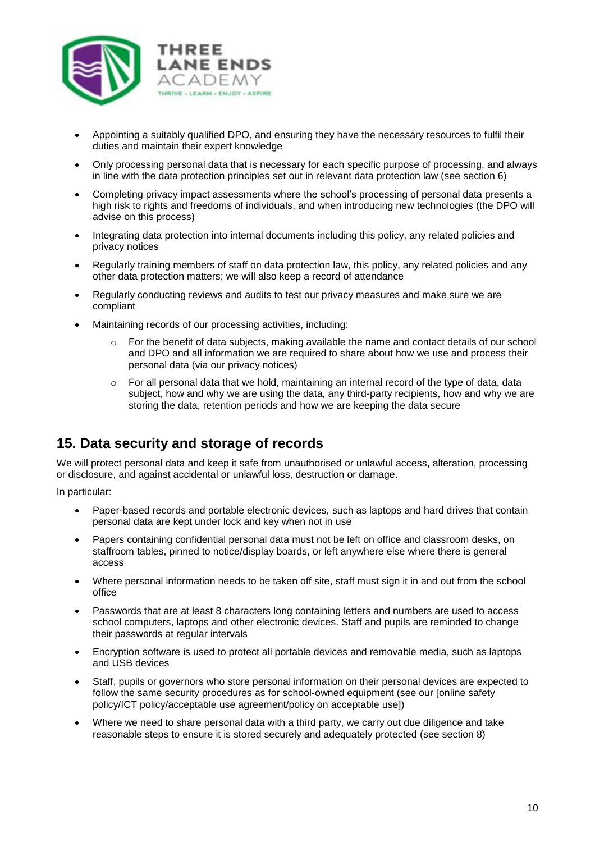

- Appointing a suitably qualified DPO, and ensuring they have the necessary resources to fulfil their duties and maintain their expert knowledge
- Only processing personal data that is necessary for each specific purpose of processing, and always in line with the data protection principles set out in relevant data protection law (see section 6)
- Completing privacy impact assessments where the school's processing of personal data presents a high risk to rights and freedoms of individuals, and when introducing new technologies (the DPO will advise on this process)
- Integrating data protection into internal documents including this policy, any related policies and privacy notices
- Regularly training members of staff on data protection law, this policy, any related policies and any other data protection matters; we will also keep a record of attendance
- Regularly conducting reviews and audits to test our privacy measures and make sure we are compliant
- Maintaining records of our processing activities, including:
	- For the benefit of data subjects, making available the name and contact details of our school and DPO and all information we are required to share about how we use and process their personal data (via our privacy notices)
	- $\circ$  For all personal data that we hold, maintaining an internal record of the type of data, data subject, how and why we are using the data, any third-party recipients, how and why we are storing the data, retention periods and how we are keeping the data secure

## **15. Data security and storage of records**

We will protect personal data and keep it safe from unauthorised or unlawful access, alteration, processing or disclosure, and against accidental or unlawful loss, destruction or damage.

In particular:

- Paper-based records and portable electronic devices, such as laptops and hard drives that contain personal data are kept under lock and key when not in use
- Papers containing confidential personal data must not be left on office and classroom desks, on staffroom tables, pinned to notice/display boards, or left anywhere else where there is general access
- Where personal information needs to be taken off site, staff must sign it in and out from the school office
- Passwords that are at least 8 characters long containing letters and numbers are used to access school computers, laptops and other electronic devices. Staff and pupils are reminded to change their passwords at regular intervals
- Encryption software is used to protect all portable devices and removable media, such as laptops and USB devices
- Staff, pupils or governors who store personal information on their personal devices are expected to follow the same security procedures as for school-owned equipment (see our [online safety policy/ICT policy/acceptable use agreement/policy on acceptable use])
- Where we need to share personal data with a third party, we carry out due diligence and take reasonable steps to ensure it is stored securely and adequately protected (see section 8)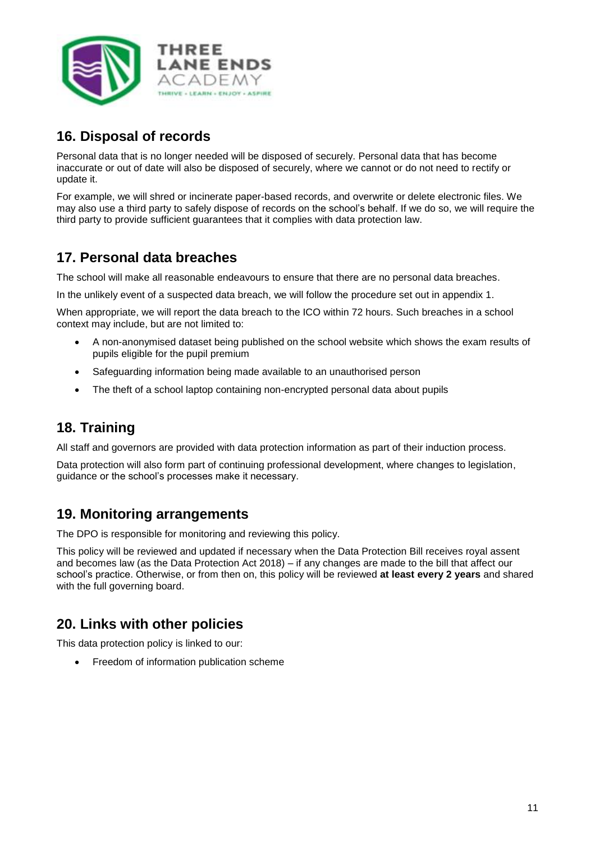

## **16. Disposal of records**

Personal data that is no longer needed will be disposed of securely. Personal data that has become inaccurate or out of date will also be disposed of securely, where we cannot or do not need to rectify or update it.

For example, we will shred or incinerate paper-based records, and overwrite or delete electronic files. We may also use a third party to safely dispose of records on the school's behalf. If we do so, we will require the third party to provide sufficient guarantees that it complies with data protection law.

## **17. Personal data breaches**

The school will make all reasonable endeavours to ensure that there are no personal data breaches.

In the unlikely event of a suspected data breach, we will follow the procedure set out in appendix 1.

When appropriate, we will report the data breach to the ICO within 72 hours. Such breaches in a school context may include, but are not limited to:

- A non-anonymised dataset being published on the school website which shows the exam results of pupils eligible for the pupil premium
- Safeguarding information being made available to an unauthorised person
- The theft of a school laptop containing non-encrypted personal data about pupils

## **18. Training**

All staff and governors are provided with data protection information as part of their induction process.

Data protection will also form part of continuing professional development, where changes to legislation, guidance or the school's processes make it necessary.

## **19. Monitoring arrangements**

The DPO is responsible for monitoring and reviewing this policy.

This policy will be reviewed and updated if necessary when the Data Protection Bill receives royal assent and becomes law (as the Data Protection Act 2018) – if any changes are made to the bill that affect our school's practice. Otherwise, or from then on, this policy will be reviewed **at least every 2 years** and shared with the full governing board.

## **20. Links with other policies**

This data protection policy is linked to our:

Freedom of information publication scheme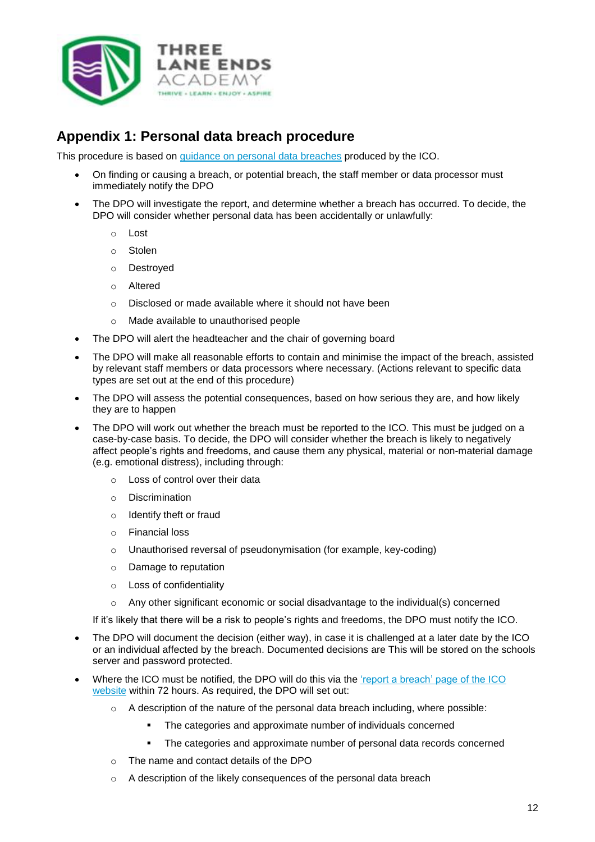

## **Appendix 1: Personal data breach procedure**

This procedure is based on [guidance on personal data breaches](https://ico.org.uk/for-organisations/guide-to-the-general-data-protection-regulation-gdpr/personal-data-breaches/) produced by the ICO.

- On finding or causing a breach, or potential breach, the staff member or data processor must immediately notify the DPO
- The DPO will investigate the report, and determine whether a breach has occurred. To decide, the DPO will consider whether personal data has been accidentally or unlawfully:
	- o Lost
	- o Stolen
	- o Destroyed
	- o Altered
	- o Disclosed or made available where it should not have been
	- o Made available to unauthorised people
- The DPO will alert the headteacher and the chair of governing board
- The DPO will make all reasonable efforts to contain and minimise the impact of the breach, assisted by relevant staff members or data processors where necessary. (Actions relevant to specific data types are set out at the end of this procedure)
- The DPO will assess the potential consequences, based on how serious they are, and how likely they are to happen
- The DPO will work out whether the breach must be reported to the ICO. This must be judged on a case-by-case basis. To decide, the DPO will consider whether the breach is likely to negatively affect people's rights and freedoms, and cause them any physical, material or non-material damage (e.g. emotional distress), including through:
	- o Loss of control over their data
	- o Discrimination
	- o Identify theft or fraud
	- **Financial loss**
	- o Unauthorised reversal of pseudonymisation (for example, key-coding)
	- o Damage to reputation
	- o Loss of confidentiality
	- o Any other significant economic or social disadvantage to the individual(s) concerned

If it's likely that there will be a risk to people's rights and freedoms, the DPO must notify the ICO.

- The DPO will document the decision (either way), in case it is challenged at a later date by the ICO or an individual affected by the breach. Documented decisions are This will be stored on the schools server and password protected.
- Where the ICO must be notified, the DPO will do this via the ['report a breach' page of the ICO](https://ico.org.uk/for-organisations/report-a-breach/)  [website](https://ico.org.uk/for-organisations/report-a-breach/) within 72 hours. As required, the DPO will set out:
	- $\circ$  A description of the nature of the personal data breach including, where possible:
		- The categories and approximate number of individuals concerned
		- **The categories and approximate number of personal data records concerned**
	- o The name and contact details of the DPO
	- o A description of the likely consequences of the personal data breach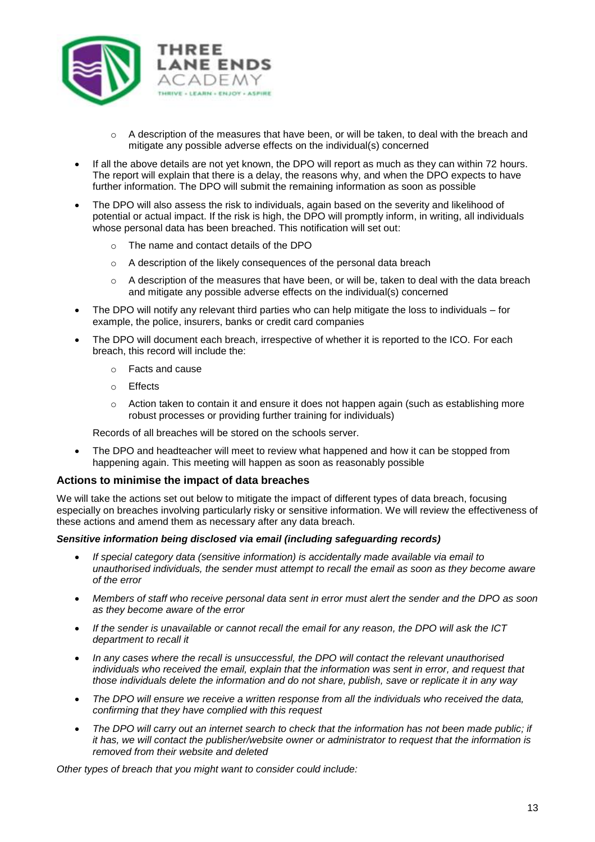

- $\circ$  A description of the measures that have been, or will be taken, to deal with the breach and mitigate any possible adverse effects on the individual(s) concerned
- If all the above details are not yet known, the DPO will report as much as they can within 72 hours. The report will explain that there is a delay, the reasons why, and when the DPO expects to have further information. The DPO will submit the remaining information as soon as possible
- The DPO will also assess the risk to individuals, again based on the severity and likelihood of potential or actual impact. If the risk is high, the DPO will promptly inform, in writing, all individuals whose personal data has been breached. This notification will set out:
	- o The name and contact details of the DPO
	- o A description of the likely consequences of the personal data breach
	- $\circ$  A description of the measures that have been, or will be, taken to deal with the data breach and mitigate any possible adverse effects on the individual(s) concerned
- The DPO will notify any relevant third parties who can help mitigate the loss to individuals for example, the police, insurers, banks or credit card companies
- The DPO will document each breach, irrespective of whether it is reported to the ICO. For each breach, this record will include the:
	- o Facts and cause
	- o Effects
	- $\circ$  Action taken to contain it and ensure it does not happen again (such as establishing more robust processes or providing further training for individuals)

Records of all breaches will be stored on the schools server.

 The DPO and headteacher will meet to review what happened and how it can be stopped from happening again. This meeting will happen as soon as reasonably possible

#### **Actions to minimise the impact of data breaches**

We will take the actions set out below to mitigate the impact of different types of data breach, focusing especially on breaches involving particularly risky or sensitive information. We will review the effectiveness of these actions and amend them as necessary after any data breach.

#### *Sensitive information being disclosed via email (including safeguarding records)*

- *If special category data (sensitive information) is accidentally made available via email to unauthorised individuals, the sender must attempt to recall the email as soon as they become aware of the error*
- *Members of staff who receive personal data sent in error must alert the sender and the DPO as soon as they become aware of the error*
- *If the sender is unavailable or cannot recall the email for any reason, the DPO will ask the ICT department to recall it*
- In any cases where the recall is unsuccessful, the DPO will contact the relevant *unauthorised individuals who received the email, explain that the information was sent in error, and request that those individuals delete the information and do not share, publish, save or replicate it in any way*
- *The DPO will ensure we receive a written response from all the individuals who received the data, confirming that they have complied with this request*
- *The DPO will carry out an internet search to check that the information has not been made public; if it has, we will contact the publisher/website owner or administrator to request that the information is removed from their website and deleted*

*Other types of breach that you might want to consider could include:*